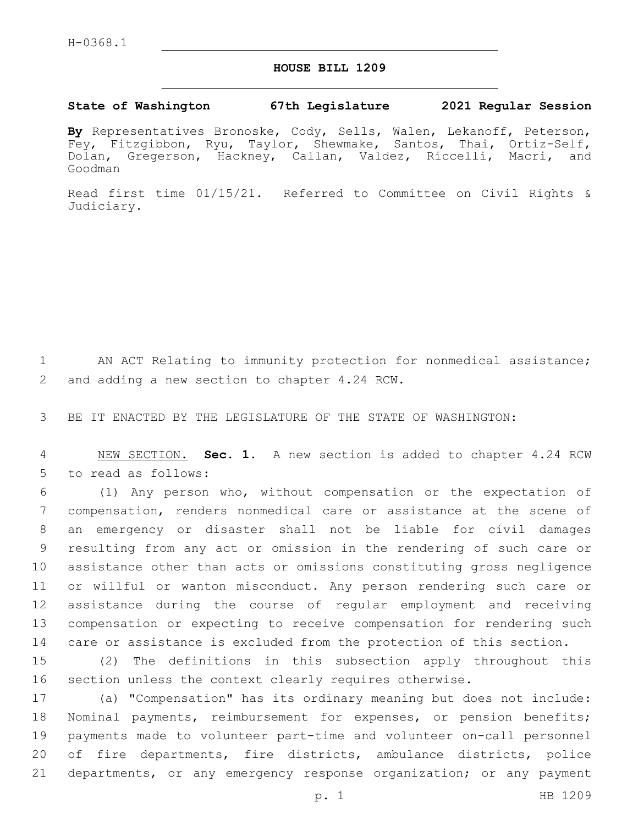## **HOUSE BILL 1209**

## **State of Washington 67th Legislature 2021 Regular Session**

**By** Representatives Bronoske, Cody, Sells, Walen, Lekanoff, Peterson, Fey, Fitzgibbon, Ryu, Taylor, Shewmake, Santos, Thai, Ortiz-Self, Dolan, Gregerson, Hackney, Callan, Valdez, Riccelli, Macri, and Goodman

Read first time 01/15/21. Referred to Committee on Civil Rights & Judiciary.

1 AN ACT Relating to immunity protection for nonmedical assistance; 2 and adding a new section to chapter 4.24 RCW.

3 BE IT ENACTED BY THE LEGISLATURE OF THE STATE OF WASHINGTON:

4 NEW SECTION. **Sec. 1.** A new section is added to chapter 4.24 RCW 5 to read as follows:

 (1) Any person who, without compensation or the expectation of compensation, renders nonmedical care or assistance at the scene of an emergency or disaster shall not be liable for civil damages resulting from any act or omission in the rendering of such care or assistance other than acts or omissions constituting gross negligence or willful or wanton misconduct. Any person rendering such care or assistance during the course of regular employment and receiving compensation or expecting to receive compensation for rendering such care or assistance is excluded from the protection of this section.

15 (2) The definitions in this subsection apply throughout this 16 section unless the context clearly requires otherwise.

 (a) "Compensation" has its ordinary meaning but does not include: Nominal payments, reimbursement for expenses, or pension benefits; payments made to volunteer part-time and volunteer on-call personnel of fire departments, fire districts, ambulance districts, police departments, or any emergency response organization; or any payment